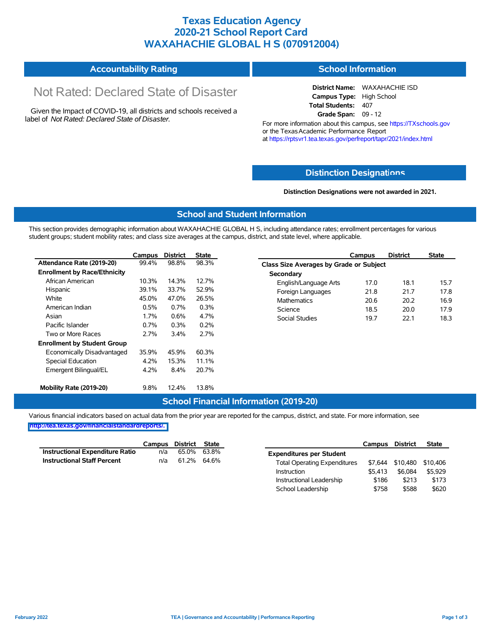### **Texas Education Agency 2020-21 School Report Card WAXAHACHIE GLOBAL H S (070912004)**

#### **Accountability Rating School Information**

# Not Rated: Declared State of Disaster

Given the Impact of COVID-19, all districts and schools received a label of *Not Rated: Declared State of Disaster.*

**District Name:** WAXAHACHIE ISD **Campus Type:** High School **Total Students:** 407 **Grade Span:** 09 - 12

For more information about this campus, see https://TXschools.gov or the Texas Academic Performance Report at https://rptsvr1.tea.texas.gov/perfreport/tapr/2021/index.html

#### **Distinction Designat[ions](https://TXschools.gov)**

**Distinction Designations were not awarded in 2021.**

School Leadership \$758 \$588 \$620

#### **School and Student Information**

This section provides demographic information about WAXAHACHIE GLOBAL H S, including attendance rates; enrollment percentages for various student groups; student mobility rates; and class size averages at the campus, district, and state level, where applicable.

|                                     | Campus | <b>District</b> | <b>State</b> | <b>District</b><br><b>State</b><br>Campus      |      |
|-------------------------------------|--------|-----------------|--------------|------------------------------------------------|------|
| Attendance Rate (2019-20)           | 99.4%  | 98.8%           | 98.3%        | <b>Class Size Averages by Grade or Subject</b> |      |
| <b>Enrollment by Race/Ethnicity</b> |        |                 |              | Secondary                                      |      |
| African American                    | 10.3%  | 14.3%           | 12.7%        | 18.1<br>English/Language Arts<br>17.0          | 15.7 |
| Hispanic                            | 39.1%  | 33.7%           | 52.9%        | 21.8<br>21.7<br>Foreign Languages              | 17.8 |
| White                               | 45.0%  | 47.0%           | 26.5%        | 20.6<br>20.2<br><b>Mathematics</b>             | 16.9 |
| American Indian                     | 0.5%   | 0.7%            | 0.3%         | Science<br>18.5<br>20.0                        | 17.9 |
| Asian                               | 1.7%   | $0.6\%$         | 4.7%         | Social Studies<br>19.7<br>22.1                 | 18.3 |
| Pacific Islander                    | 0.7%   | 0.3%            | 0.2%         |                                                |      |
| Two or More Races                   | 2.7%   | 3.4%            | 2.7%         |                                                |      |
| <b>Enrollment by Student Group</b>  |        |                 |              |                                                |      |
| Economically Disadvantaged          | 35.9%  | 45.9%           | 60.3%        |                                                |      |
| Special Education                   | 4.2%   | 15.3%           | 11.1%        |                                                |      |
| Emergent Bilingual/EL               | 4.2%   | 8.4%            | 20.7%        |                                                |      |
| Mobility Rate (2019-20)             | 9.8%   | 12.4%           | 13.8%        |                                                |      |

#### **School Financial Information (2019-20)**

Various financial indicators based on actual data from the prior year are reported for the campus, district, and state. For more information, see

**[http://tea.texas.gov/financialstandardreports/.](http://tea.texas.gov/financialstandardreports/)**

|                                        | Campus | District | <b>State</b> |                                     | Campus  | <b>District</b> | <b>State</b> |
|----------------------------------------|--------|----------|--------------|-------------------------------------|---------|-----------------|--------------|
| <b>Instructional Expenditure Ratio</b> | n/a    | 65.0%    | 63.8%        | <b>Expenditures per Student</b>     |         |                 |              |
| <b>Instructional Staff Percent</b>     | n/a    | 61.2%    | 64.6%        | <b>Total Operating Expenditures</b> | \$7.644 | \$10,480        | \$10,406     |
|                                        |        |          |              | Instruction                         | \$5.413 | \$6,084         | \$5.929      |
|                                        |        |          |              | Instructional Leadership            | \$186   | \$213           | \$173        |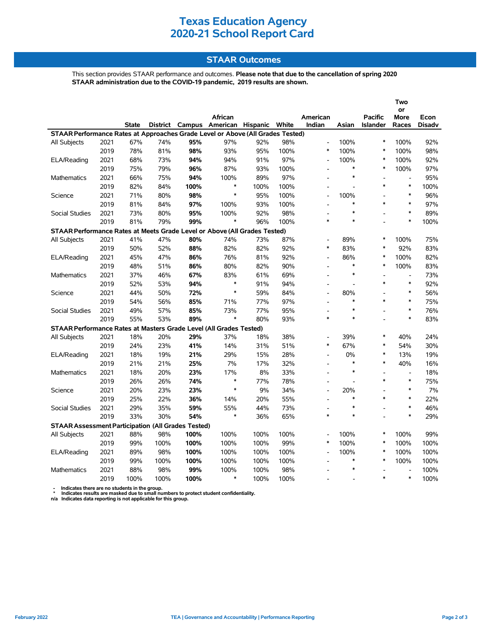## **Texas Education Agency 2020-21 School Report Card**

#### **STAAR Outcomes**

This section provides STAAR performance and outcomes. **Please note that due to the cancellation of spring 2020 STAAR administration due to the COVID-19 pandemic, 2019 results are shown.**

|                                                                                          |      |              |      |                 |                         |      |      |                          |                          |                | Two                      |               |
|------------------------------------------------------------------------------------------|------|--------------|------|-----------------|-------------------------|------|------|--------------------------|--------------------------|----------------|--------------------------|---------------|
|                                                                                          |      |              |      |                 |                         |      |      |                          |                          |                | or                       |               |
|                                                                                          |      |              |      |                 | African                 |      |      | American                 |                          | Pacific        | More                     | Econ          |
|                                                                                          |      | <b>State</b> |      | District Campus | American Hispanic White |      |      | Indian                   | Asian                    | Islander       | Races                    | <b>Disadv</b> |
| STAAR Performance Rates at Approaches Grade Level or Above (All Grades Tested)<br>$\ast$ |      |              |      |                 |                         |      |      |                          |                          |                |                          |               |
| All Subjects                                                                             | 2021 | 67%          | 74%  | 95%             | 97%                     | 92%  | 98%  | $\overline{a}$           | 100%                     |                | 100%                     | 92%           |
|                                                                                          | 2019 | 78%          | 81%  | 98%             | 93%                     | 95%  | 100% | *                        | 100%                     | $\ast$         | 100%                     | 98%           |
| ELA/Reading                                                                              | 2021 | 68%          | 73%  | 94%             | 94%                     | 91%  | 97%  | $\overline{a}$           | 100%                     | $\ast$         | 100%                     | 92%           |
|                                                                                          | 2019 | 75%          | 79%  | 96%             | 87%                     | 93%  | 100% | $\overline{a}$           | $\ast$                   | $\ast$         | 100%                     | 97%           |
| <b>Mathematics</b>                                                                       | 2021 | 66%          | 75%  | 94%             | 100%                    | 89%  | 97%  | $\overline{a}$           | $\ast$                   |                | $\overline{a}$           | 95%           |
|                                                                                          | 2019 | 82%          | 84%  | 100%            | $\ast$                  | 100% | 100% |                          | $\overline{a}$           | $\ast$         | $\ast$                   | 100%          |
| Science                                                                                  | 2021 | 71%          | 80%  | 98%             | $\ast$                  | 95%  | 100% | $\overline{a}$           | 100%                     | L,             | $\ast$                   | 96%           |
|                                                                                          | 2019 | 81%          | 84%  | 97%             | 100%                    | 93%  | 100% | $\overline{a}$           | $\ast$                   | $\ast$         | $\ast$                   | 97%           |
| Social Studies                                                                           | 2021 | 73%          | 80%  | 95%             | 100%                    | 92%  | 98%  |                          | $\ast$                   |                | $\ast$                   | 89%           |
|                                                                                          | 2019 | 81%          | 79%  | 99%             | $\ast$                  | 96%  | 100% | $\ast$                   | $\ast$                   | $\overline{a}$ | $\ast$                   | 100%          |
| STAAR Performance Rates at Meets Grade Level or Above (All Grades Tested)                |      |              |      |                 |                         |      |      |                          |                          |                |                          |               |
| All Subjects                                                                             | 2021 | 41%          | 47%  | 80%             | 74%                     | 73%  | 87%  |                          | 89%                      | $\ast$         | 100%                     | 75%           |
|                                                                                          | 2019 | 50%          | 52%  | 88%             | 82%                     | 82%  | 92%  | $\ast$                   | 83%                      | $\ast$         | 92%                      | 83%           |
| ELA/Reading                                                                              | 2021 | 45%          | 47%  | 86%             | 76%                     | 81%  | 92%  |                          | 86%                      | $\ast$         | 100%                     | 82%           |
|                                                                                          | 2019 | 48%          | 51%  | 86%             | 80%                     | 82%  | 90%  | $\overline{a}$           | $\ast$                   | $\ast$         | 100%                     | 83%           |
| Mathematics                                                                              | 2021 | 37%          | 46%  | 67%             | 83%                     | 61%  | 69%  | $\overline{a}$           | $\ast$                   | $\overline{a}$ | $\overline{a}$           | 73%           |
|                                                                                          | 2019 | 52%          | 53%  | 94%             | $\ast$                  | 91%  | 94%  |                          | $\overline{\phantom{a}}$ | $\ast$         | $\ast$                   | 92%           |
| Science                                                                                  | 2021 | 44%          | 50%  | 72%             | $\ast$                  | 59%  | 84%  |                          | 80%                      |                | $\ast$                   | 56%           |
|                                                                                          | 2019 | 54%          | 56%  | 85%             | 71%                     | 77%  | 97%  | $\overline{a}$           | $\ast$                   | $\ast$         | $\ast$                   | 75%           |
| <b>Social Studies</b>                                                                    | 2021 | 49%          | 57%  | 85%             | 73%                     | 77%  | 95%  |                          | $\ast$                   |                | $\ast$                   | 76%           |
|                                                                                          | 2019 | 55%          | 53%  | 89%             | *                       | 80%  | 93%  | *                        | $\ast$                   |                | $\ast$                   | 83%           |
| STAAR Performance Rates at Masters Grade Level (All Grades Tested)                       |      |              |      |                 |                         |      |      |                          |                          |                |                          |               |
| All Subjects                                                                             | 2021 | 18%          | 20%  | 29%             | 37%                     | 18%  | 38%  | $\overline{a}$           | 39%                      | $\ast$         | 40%                      | 24%           |
|                                                                                          | 2019 | 24%          | 23%  | 41%             | 14%                     | 31%  | 51%  | *                        | 67%                      | $\ast$         | 54%                      | 30%           |
| ELA/Reading                                                                              | 2021 | 18%          | 19%  | 21%             | 29%                     | 15%  | 28%  |                          | 0%                       | $\ast$         | 13%                      | 19%           |
|                                                                                          | 2019 | 21%          | 21%  | 25%             | 7%                      | 17%  | 32%  | $\overline{a}$           | $\ast$                   | $\ast$         | 40%                      | 16%           |
| Mathematics                                                                              | 2021 | 18%          | 20%  | 23%             | 17%                     | 8%   | 33%  | $\overline{\phantom{a}}$ | $\ast$                   | ۰              | $\overline{\phantom{a}}$ | 18%           |
|                                                                                          | 2019 | 26%          | 26%  | 74%             | $\ast$                  | 77%  | 78%  |                          | $\overline{a}$           | $\ast$         | $\ast$                   | 75%           |
| Science                                                                                  | 2021 | 20%          | 23%  | 23%             | $\ast$                  | 9%   | 34%  |                          | 20%                      |                | $\ast$                   | 7%            |
|                                                                                          | 2019 | 25%          | 22%  | 36%             | 14%                     | 20%  | 55%  | $\overline{a}$           | $\ast$                   | $\ast$         | $\ast$                   | 22%           |
| <b>Social Studies</b>                                                                    | 2021 | 29%          | 35%  | 59%             | 55%                     | 44%  | 73%  |                          | $\ast$                   |                | $\ast$                   | 46%           |
|                                                                                          | 2019 | 33%          | 30%  | 54%             | $\ast$                  | 36%  | 65%  | *                        | $\ast$                   |                | $\ast$                   | 29%           |
| <b>STAAR Assessment Participation (All Grades Tested)</b>                                |      |              |      |                 |                         |      |      |                          |                          |                |                          |               |
| All Subjects                                                                             | 2021 | 88%          | 98%  | 100%            | 100%                    | 100% | 100% | $\overline{a}$           | 100%                     | $\ast$         | 100%                     | 99%           |
|                                                                                          | 2019 | 99%          | 100% | 100%            | 100%                    | 100% | 99%  | *                        | 100%                     | $\ast$         | 100%                     | 100%          |
| ELA/Reading                                                                              | 2021 | 89%          | 98%  | 100%            | 100%                    | 100% | 100% | $\overline{\phantom{a}}$ | 100%                     | $\ast$         | 100%                     | 100%          |
|                                                                                          | 2019 | 99%          | 100% | 100%            | 100%                    | 100% | 100% | $\overline{\phantom{a}}$ | $\ast$                   | $\ast$         | 100%                     | 100%          |
| Mathematics                                                                              | 2021 | 88%          | 98%  | 99%             | 100%                    | 100% | 98%  |                          | $\ast$                   | L,             | $\overline{a}$           | 100%          |
|                                                                                          | 2019 | 100%         | 100% | 100%            | $\ast$                  | 100% | 100% |                          |                          | $\ast$         | $\ast$                   | 100%          |

 **- Indicates there are no students in the group. \* Indicates results are masked due to small numbers to protect student confidentiality.**

**n/a Indicates data reporting is not applicable for this group.**